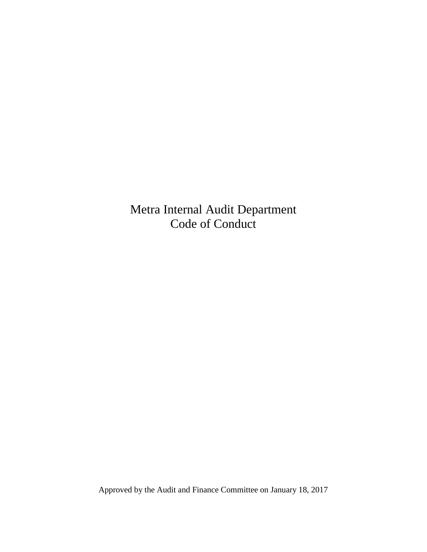Metra Internal Audit Department Code of Conduct

Approved by the Audit and Finance Committee on January 18, 2017